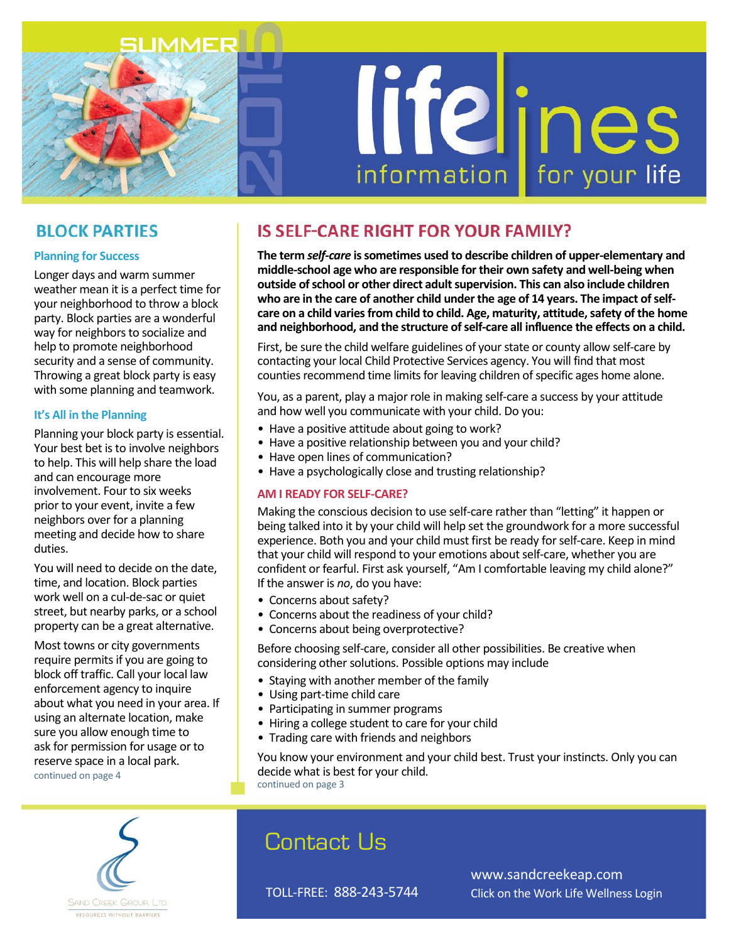

# lifelines

# **BLOCK PARTIES**

### **Planning for Success**

Longer days and warm summer weather mean it is a perfect time for your neighborhood to throw a block party. Block parties are a wonderful way for neighbors to socialize and help to promote neighborhood security and a sense of community. Throwing a great block party is easy with some planning and teamwork.

## **It's All in the Planning**

Planning your block party is essential. Your best bet is to involve neighbors to help. This will help share the load and can encourage more involvement. Four to six weeks prior to your event, invite a few neighbors over for a planning meeting and decide how to share duties.

You will need to decide on the date, time, and location. Block parties work well on a cul-de-sac or quiet street, but nearby parks, or a school property can be a great alternative.

Most towns or city governments require permits if you are going to block off traffic. Call your local law enforcement agency to inquire about what you need in your area. If using an alternate location, make sure you allow enough time to ask for permission for usage or to reserve space in a local park. continued on page 4

# **IS SELF-CARE RIGHT FOR YOUR FAMILY?**

**The term** *self-care* **is sometimes used to describe children of upper-elementary and middle-school age who are responsible for their own safety and well-being when outside of school or other direct adult supervision. This can also include children who are in the care of another child under the age of 14 years. The impact of selfcare on a child varies from child to child. Age, maturity, attitude, safety of the home and neighborhood, and the structure of self-care all influence the effects on a child.**

First, be sure the child welfare guidelines of your state or county allow self-care by contacting your local Child Protective Services agency. You will find that most counties recommend time limits for leaving children of specific ages home alone.

You, as a parent, play a major role in making self-care a success by your attitude and how well you communicate with your child. Do you:

- Have a positive attitude about going to work?
- Have a positive relationship between you and your child?
- Have open lines of communication?
- Have a psychologically close and trusting relationship?

### **AM I READY FOR SELF-CARE?**

Making the conscious decision to use self-care rather than "letting" it happen or being talked into it by your child will help set the groundwork for a more successful experience. Both you and your child must first be ready for self-care. Keep in mind that your child will respond to your emotions about self-care, whether you are confident or fearful. First ask yourself, "Am I comfortable leaving my child alone?" If the answer is *no*, do you have:

- Concerns about safety?
- Concerns about the readiness of your child?
- Concerns about being overprotective?

Before choosing self-care, consider all other possibilities. Be creative when considering other solutions. Possible options may include

- Staying with another member of the family
- Using part-time child care
- Participating in summer programs
- Hiring a college student to care for your child
- Trading care with friends and neighbors

You know your environment and your child best. Trust your instincts. Only you can decide what is best for your child. continued on page 3



# Contact Us

TOLL-FREE: 888-243-5744

www.sandcreekeap.com Click on the Work Life Wellness Login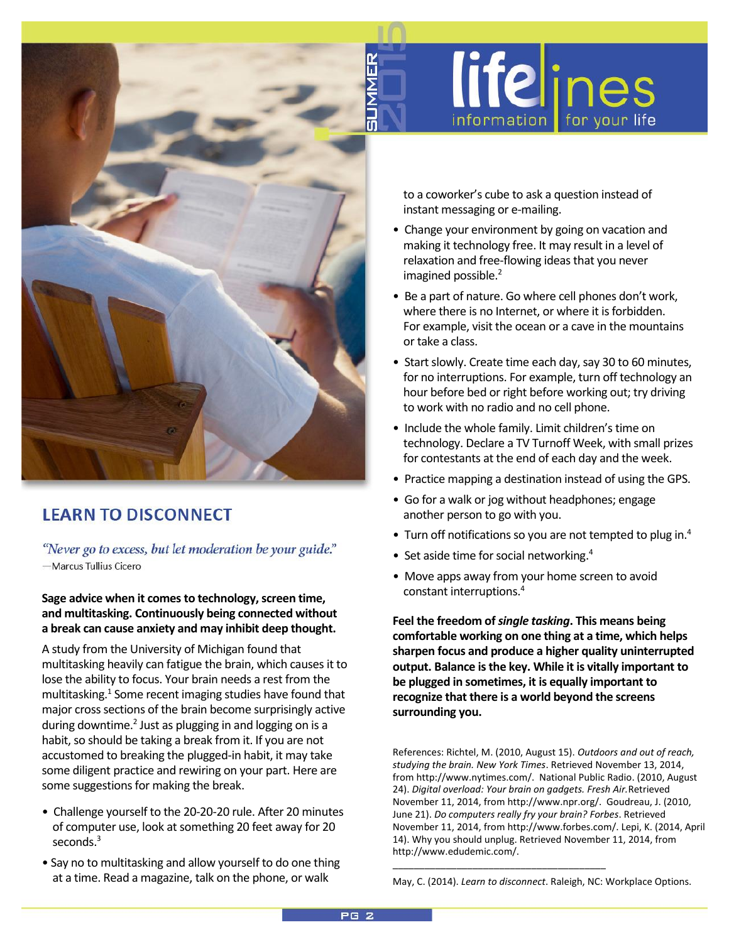

# **LEARN TO DISCONNECT**

"Never go to excess, but let moderation be your guide." -Marcus Tullius Cicero

### **Sage advice when it comes to technology, screen time, and multitasking. Continuously being connected without a break can cause anxiety and may inhibit deep thought.**

A study from the University of Michigan found that multitasking heavily can fatigue the brain, which causes it to lose the ability to focus. Your brain needs a rest from the multitasking.<sup>1</sup> Some recent imaging studies have found that major cross sections of the brain become surprisingly active during downtime.<sup>2</sup> Just as plugging in and logging on is a habit, so should be taking a break from it. If you are not accustomed to breaking the plugged-in habit, it may take some diligent practice and rewiring on your part. Here are some suggestions for making the break.

- Challenge yourself to the 20-20-20 rule. After 20 minutes of computer use, look at something 20 feet away for 20 seconds. $3$
- Say no to multitasking and allow yourself to do one thing at a time. Read a magazine, talk on the phone, or walk

to a coworker's cube to ask a question instead of instant messaging or e-mailing.

information **I** 

**life**lines

for your life

- Change your environment by going on vacation and making it technology free. It may result in a level of relaxation and free-flowing ideas that you never imagined possible.<sup>2</sup>
- Be a part of nature. Go where cell phones don't work, where there is no Internet, or where it is forbidden. For example, visit the ocean or a cave in the mountains or take a class.
- Start slowly. Create time each day, say 30 to 60 minutes, for no interruptions. For example, turn off technology an hour before bed or right before working out; try driving to work with no radio and no cell phone.
- Include the whole family. Limit children's time on technology. Declare a TV Turnoff Week, with small prizes for contestants at the end of each day and the week.
- Practice mapping a destination instead of using the GPS.
- Go for a walk or jog without headphones; engage another person to go with you.
- Turn off notifications so you are not tempted to plug in.<sup>4</sup>
- Set aside time for social networking.<sup>4</sup>
- Move apps away from your home screen to avoid constant interruptions.<sup>4</sup>

**Feel the freedom of** *single tasking***. This means being comfortable working on one thing at a time, which helps sharpen focus and produce a higher quality uninterrupted output. Balance is the key. While it is vitally important to be plugged in sometimes, it is equally important to recognize that there is a world beyond the screens surrounding you.**

References: Richtel, M. (2010, August 15). *Outdoors and out of reach, studying the brain. New York Times*. Retrieved November 13, 2014, from http://www.nytimes.com/. National Public Radio. (2010, August 24). *Digital overload: Your brain on gadgets. Fresh Air.*Retrieved November 11, 2014, from http://www.npr.org/. Goudreau, J. (2010, June 21). *Do computers really fry your brain? Forbes*. Retrieved November 11, 2014, from http://www.forbes.com/. Lepi, K. (2014, April 14). Why you should unplug. Retrieved November 11, 2014, from http://www.edudemic.com/.

May, C. (2014). *Learn to disconnect*. Raleigh, NC: Workplace Options.

\_\_\_\_\_\_\_\_\_\_\_\_\_\_\_\_\_\_\_\_\_\_\_\_\_\_\_\_\_\_\_\_\_\_\_\_\_\_\_\_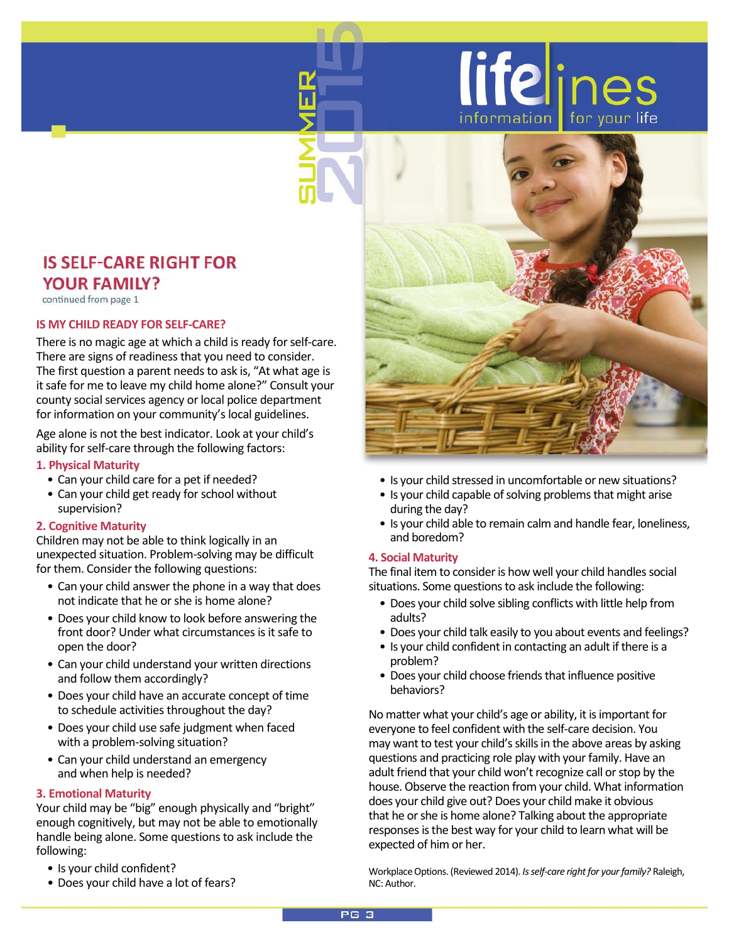

# **IS SELF-CARE RIGHT FOR YOUR FAMILY?**

continued from page 1

### **IS MY CHILD READY FOR SELF-CARE?**

There is no magic age at which a child is ready for self-care. There are signs of readiness that you need to consider. The first question a parent needs to ask is, "At what age is it safe for me to leave my child home alone?" Consult your county social services agency or local police department for information on your community's local guidelines.

Age alone is not the best indicator. Look at your child's ability for self-care through the following factors:

### **1. Physical Maturity**

- Can your child care for a pet if needed?
- Can your child get ready for school without supervision?

### **2. Cognitive Maturity**

Children may not be able to think logically in an unexpected situation. Problem-solving may be difficult for them. Consider the following questions:

- Can your child answer the phone in a way that does not indicate that he or she is home alone?
- Does your child know to look before answering the front door? Under what circumstances is it safe to open the door?
- Can your child understand your written directions and follow them accordingly?
- Does your child have an accurate concept of time to schedule activities throughout the day?
- Does your child use safe judgment when faced with a problem-solving situation?
- Can your child understand an emergency and when help is needed?

### **3. Emotional Maturity**

Your child may be "big" enough physically and "bright" enough cognitively, but may not be able to emotionally handle being alone. Some questions to ask include the following:

- Is your child confident?
- Does your child have a lot of fears?
- Is your child stressed in uncomfortable or new situations?
- Is your child capable of solving problems that might arise during the day?
- Is your child able to remain calm and handle fear, loneliness, and boredom?

### **4. Social Maturity**

The final item to consider is how well your child handles social situations. Some questions to ask include the following:

- Does your child solve sibling conflicts with little help from adults?
- Does your child talk easily to you about events and feelings?
- Is your child confident in contacting an adult if there is a problem?
- Does your child choose friends that influence positive behaviors?

No matter what your child's age or ability, it is important for everyone to feel confident with the self-care decision. You may want to test your child's skills in the above areas by asking questions and practicing role play with your family. Have an adult friend that your child won't recognize call or stop by the house. Observe the reaction from your child. What information does your child give out? Does your child make it obvious that he or she is home alone? Talking about the appropriate responses is the best way for your child to learn what will be expected of him or her.

Workplace Options. (Reviewed 2014). *Is self-care right for your family?* Raleigh, NC: Author.